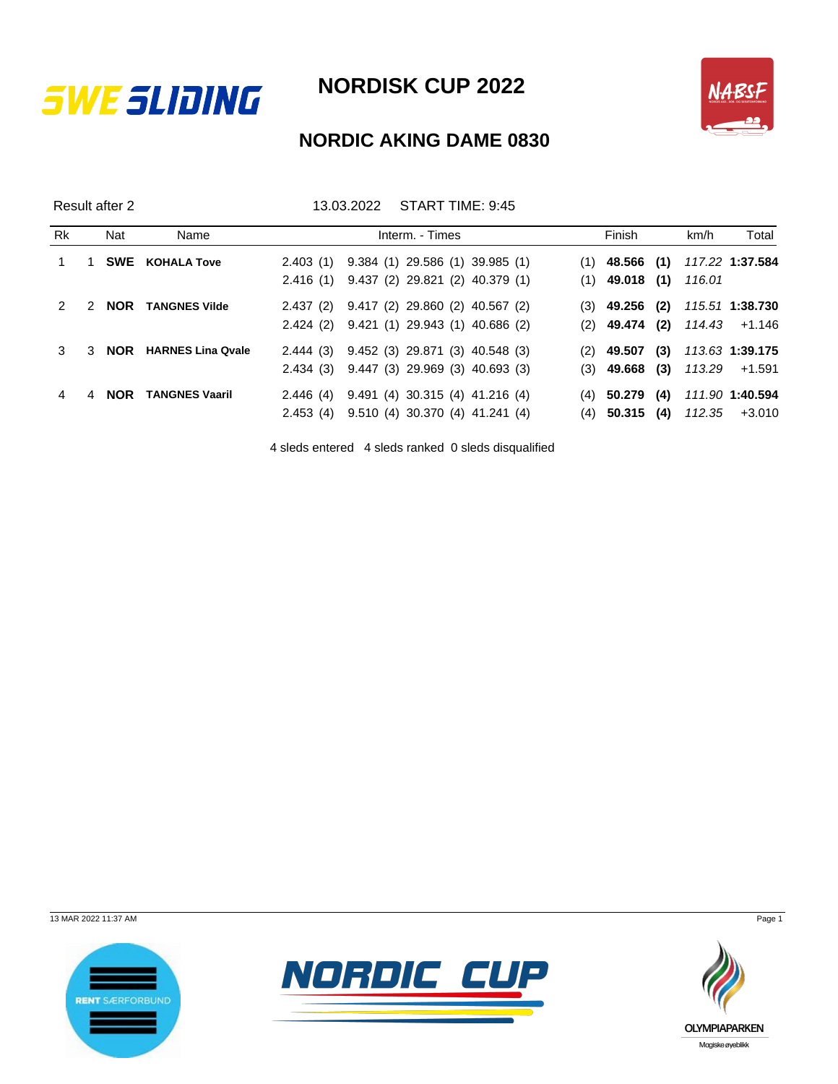



## **NORDIC AKING DAME 0830**

Result after 2 13.03.2022 START TIME: 9:45

| Rk |               | Nat        | Name                     |  | Interm. - Times                           |  | Finish                    |     | km/h | Total                          |
|----|---------------|------------|--------------------------|--|-------------------------------------------|--|---------------------------|-----|------|--------------------------------|
|    |               |            | <b>SWE</b> KOHALA Tove   |  | 2.403 (1) 9.384 (1) 29.586 (1) 39.985 (1) |  | $(1)$ 48.566 (1)          |     |      | 117.22 <b>1:37.584</b>         |
|    |               |            |                          |  | 2.416 (1) 9.437 (2) 29.821 (2) 40.379 (1) |  | $(1)$ 49.018 $(1)$ 116.01 |     |      |                                |
|    | $\mathcal{P}$ | <b>NOR</b> | <b>TANGNES Vilde</b>     |  | 2.437 (2) 9.417 (2) 29.860 (2) 40.567 (2) |  | $(3)$ 49.256 (2)          |     |      | 115.51 <b>1:38.730</b>         |
|    |               |            |                          |  | 2.424 (2) 9.421 (1) 29.943 (1) 40.686 (2) |  |                           |     |      | $(2)$ 49.474 (2) 114.43 +1.146 |
|    |               | 3 NOR      | <b>HARNES Lina Qvale</b> |  | 2.444 (3) 9.452 (3) 29.871 (3) 40.548 (3) |  | $(2)$ 49.507              | (3) |      | 113.63 1 <b>:39.175</b>        |
|    |               |            |                          |  | 2.434 (3) 9.447 (3) 29.969 (3) 40.693 (3) |  |                           |     |      | $(3)$ 49.668 (3) 113.29 +1.591 |
| 4  |               | 4 NOR      | <b>TANGNES Vaaril</b>    |  | 2.446 (4) 9.491 (4) 30.315 (4) 41.216 (4) |  | $(4)$ 50.279              | (4) |      | 111.90 1:40.594                |
|    |               |            |                          |  | 2.453 (4) 9.510 (4) 30.370 (4) 41.241 (4) |  |                           |     |      | $(4)$ 50.315 (4) 112.35 +3.010 |

4 sleds entered 4 sleds ranked 0 sleds disqualified

13 MAR 2022 11:37 AM Page 1





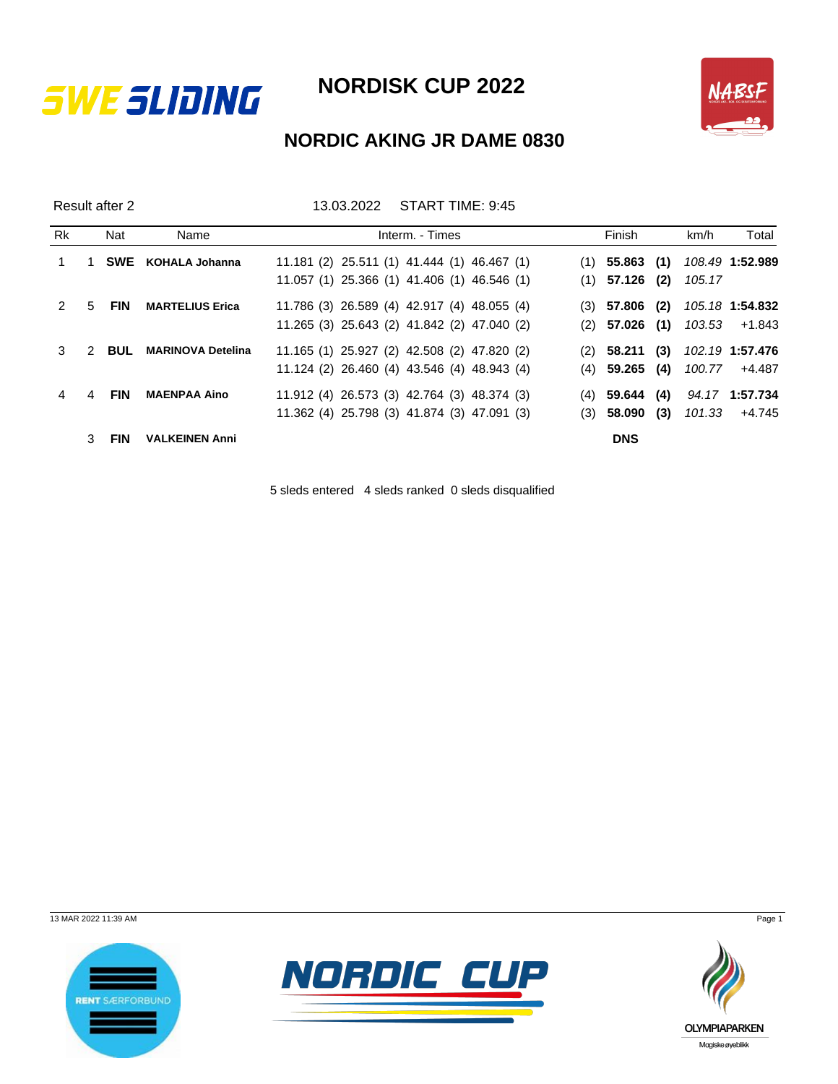



## **NORDIC AKING JR DAME 0830**

Result after 2 13.03.2022 START TIME: 9:45

| <b>Rk</b> |               | Nat        | Name                     | Interm. - Times                                     | Finish              | km/h   | Total           |
|-----------|---------------|------------|--------------------------|-----------------------------------------------------|---------------------|--------|-----------------|
|           |               | <b>SWE</b> | KOHALA Johanna           | $11.181$ (2) $25.511$ (1) $41.444$ (1) $46.467$ (1) | $(1)$ 55.863 (1)    |        | 108.49 1:52.989 |
|           |               |            |                          | 11.057 (1) 25.366 (1) 41.406 (1) 46.546 (1)         | $(1)$ 57.126 $(2)$  | 105.17 |                 |
|           | .5            | <b>FIN</b> | <b>MARTELIUS Erica</b>   | 11.786 (3) 26.589 (4) 42.917 (4) 48.055 (4)         | (2)<br>$(3)$ 57.806 |        | 105.18 1:54.832 |
|           |               |            |                          | 11.265 (3) 25.643 (2) 41.842 (2) 47.040 (2)         | $(2)$ 57.026 $(1)$  |        | 103.53 +1.843   |
|           | $\mathcal{P}$ | <b>BUL</b> | <b>MARINOVA Detelina</b> | 11.165 (1) 25.927 (2) 42.508 (2) 47.820 (2)         | (3)<br>$(2)$ 58.211 |        | 102.19 1:57.476 |
|           |               |            |                          | 11.124 (2) 26.460 (4) 43.546 (4) 48.943 (4)         | (4)<br>$(4)$ 59.265 |        | 100.77 +4.487   |
|           | 4             | <b>FIN</b> | <b>MAENPAA Aino</b>      | 11.912 (4) 26.573 (3) 42.764 (3) 48.374 (3)         | (4)<br>$(4)$ 59.644 |        | 94.17 1:57.734  |
|           |               |            |                          | 11.362 (4) 25.798 (3) 41.874 (3) 47.091 (3)         | (3)<br>$(3)$ 58.090 | 101.33 | +4.745          |
|           |               | <b>FIN</b> | <b>VALKEINEN Anni</b>    |                                                     | <b>DNS</b>          |        |                 |

5 sleds entered 4 sleds ranked 0 sleds disqualified

13 MAR 2022 11:39 AM Page 1





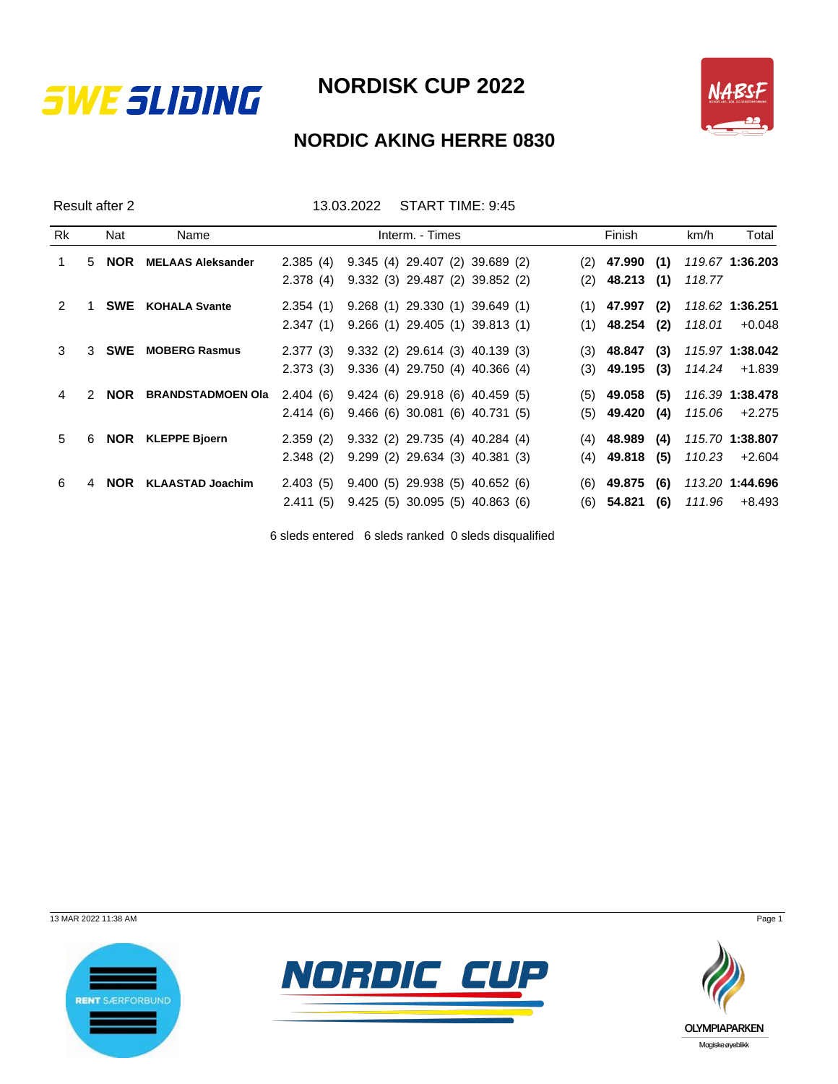



## **NORDIC AKING HERRE 0830**

Result after 2 13.03.2022 START TIME: 9:45

| Rk            |               | Nat        | Name                     | Interm. - Times                           |  |  | Finish             |     | km/h   | Total            |
|---------------|---------------|------------|--------------------------|-------------------------------------------|--|--|--------------------|-----|--------|------------------|
|               | 5             | <b>NOR</b> | <b>MELAAS Aleksander</b> | 2.385 (4) 9.345 (4) 29.407 (2) 39.689 (2) |  |  | $(2)$ 47.990 (1)   |     |        | 119.67 1:36.203  |
|               |               |            |                          | 2.378 (4) 9.332 (3) 29.487 (2) 39.852 (2) |  |  | $(2)$ 48.213 (1)   |     | 118.77 |                  |
| $\mathcal{P}$ |               | SWE        | <b>KOHALA Svante</b>     | 2.354 (1) 9.268 (1) 29.330 (1) 39.649 (1) |  |  | $(1)$ 47.997 (2)   |     |        | 118.62 1:36.251  |
|               |               |            |                          | 2.347 (1) 9.266 (1) 29.405 (1) 39.813 (1) |  |  | $(1)$ 48.254 (2)   |     | 118.01 | $+0.048$         |
| 3             | 3             | <b>SWE</b> | <b>MOBERG Rasmus</b>     | 2.377 (3) 9.332 (2) 29.614 (3) 40.139 (3) |  |  | $(3)$ 48.847 $(3)$ |     |        | 115.97 1:38.042  |
|               |               |            |                          | 2.373 (3) 9.336 (4) 29.750 (4) 40.366 (4) |  |  | $(3)$ 49.195 $(3)$ |     |        | 114.24 +1.839    |
| 4             | $\mathcal{P}$ | <b>NOR</b> | <b>BRANDSTADMOEN Ola</b> | 2.404 (6) 9.424 (6) 29.918 (6) 40.459 (5) |  |  | $(5)$ 49.058 (5)   |     |        | 116.39 1:38.478  |
|               |               |            |                          | 2.414 (6) 9.466 (6) 30.081 (6) 40.731 (5) |  |  | $(5)$ 49.420 (4)   |     |        | 115.06 +2.275    |
| 5             | 6             | <b>NOR</b> | <b>KLEPPE Bjoern</b>     | 2.359 (2) 9.332 (2) 29.735 (4) 40.284 (4) |  |  | $(4)$ 48.989       | (4) |        | 115.70 1:38.807  |
|               |               |            |                          | 2.348 (2) 9.299 (2) 29.634 (3) 40.381 (3) |  |  | $(4)$ 49.818 (5)   |     |        | $110.23 + 2.604$ |
| 6             | 4             | <b>NOR</b> | <b>KLAASTAD Joachim</b>  | 2.403 (5) 9.400 (5) 29.938 (5) 40.652 (6) |  |  | $(6)$ 49.875 (6)   |     |        | 113.20 1:44.696  |
|               |               |            |                          | 2.411 (5) 9.425 (5) 30.095 (5) 40.863 (6) |  |  | $(6)$ 54.821 (6)   |     |        | 111.96 +8.493    |

6 sleds entered 6 sleds ranked 0 sleds disqualified

13 MAR 2022 11:38 AM Page 1





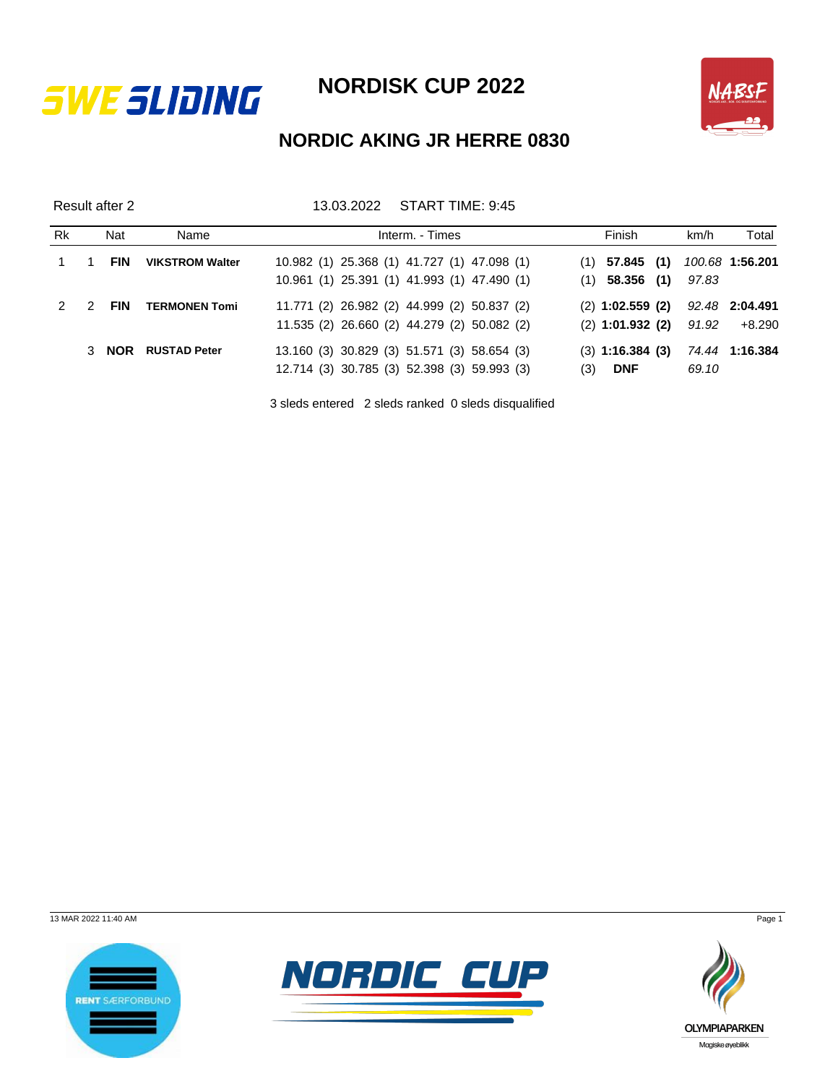



## **NORDIC AKING JR HERRE 0830**

Result after 2 13.03.2022 START TIME: 9:45

| Rk | Nat        | Name                   | Interm. - Times                             | Finish               | km/h  | Total           |
|----|------------|------------------------|---------------------------------------------|----------------------|-------|-----------------|
|    | <b>FIN</b> | <b>VIKSTROM Walter</b> | 10.982 (1) 25.368 (1) 41.727 (1) 47.098 (1) | $(1)$ 57.845 (1)     |       | 100.68 1:56.201 |
|    |            |                        | 10.961 (1) 25.391 (1) 41.993 (1) 47.490 (1) | $(1)$ 58.356 (1)     | 97.83 |                 |
|    | <b>FIN</b> | <b>TERMONEN Tomi</b>   | 11.771 (2) 26.982 (2) 44.999 (2) 50.837 (2) | $(2)$ 1:02.559 (2)   |       | 92.48 2:04.491  |
|    |            |                        | 11.535 (2) 26.660 (2) 44.279 (2) 50.082 (2) | $(2)$ 1:01.932 (2)   | 91.92 | +8.290          |
|    | 3 NOR      | <b>RUSTAD Peter</b>    | 13.160 (3) 30.829 (3) 51.571 (3) 58.654 (3) | $(3)$ 1:16.384 $(3)$ |       | 74.44 1:16.384  |
|    |            |                        | 12.714 (3) 30.785 (3) 52.398 (3) 59.993 (3) | <b>DNF</b><br>(3)    | 69.10 |                 |

3 sleds entered 2 sleds ranked 0 sleds disqualified

13 MAR 2022 11:40 AM Page 1





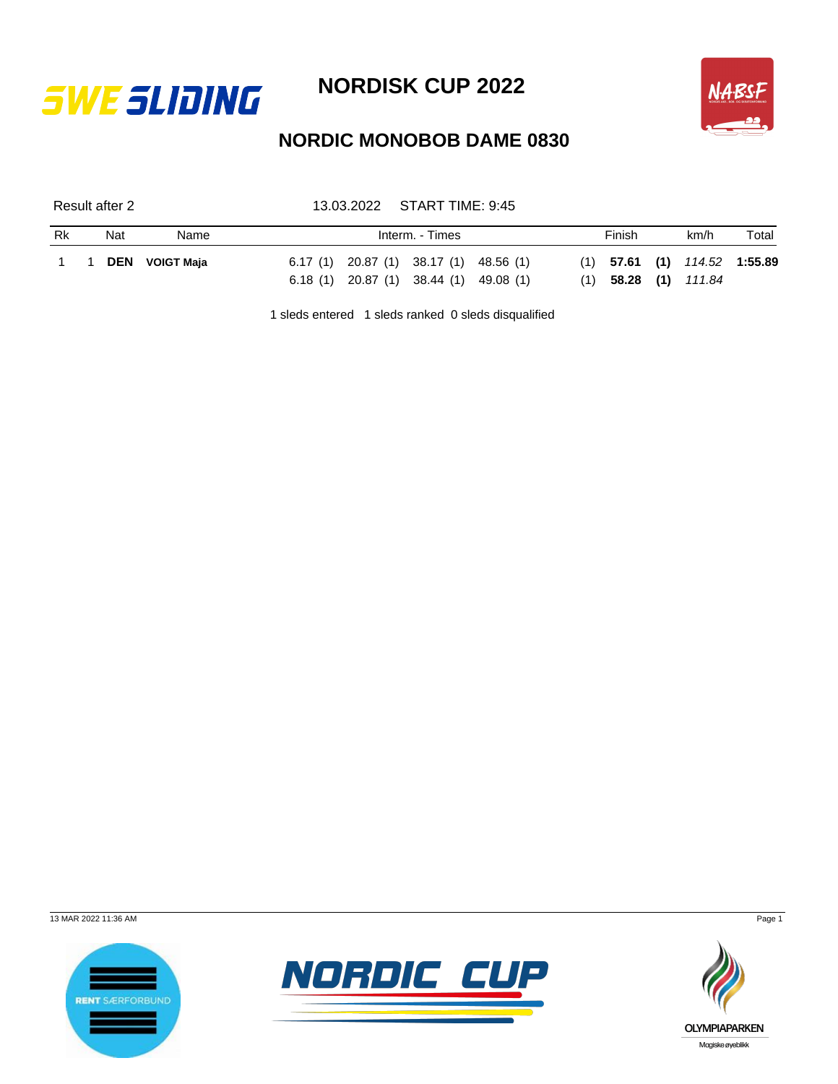



## **NORDIC MONOBOB DAME 0830**

Result after 2 13.03.2022 START TIME: 9:45

| $6.17(1)$ 20.87 (1) 38.17 (1) 48.56 (1)<br>$(1)$ 57.61 $(1)$ 114.52 1:55.89<br>1 1 DEN VOIGT Maja<br>6.18 (1) 20.87 (1) 38.44 (1) 49.08 (1)<br>$(1)$ 58.28 $(1)$ 111.84 | <b>Rk</b> | Nat | Name |  | Interm. - Times |  | Finish | km/h | Total |
|-------------------------------------------------------------------------------------------------------------------------------------------------------------------------|-----------|-----|------|--|-----------------|--|--------|------|-------|
|                                                                                                                                                                         |           |     |      |  |                 |  |        |      |       |
|                                                                                                                                                                         |           |     |      |  |                 |  |        |      |       |

1 sleds entered 1 sleds ranked 0 sleds disqualified

13 MAR 2022 11:36 AM Page 1





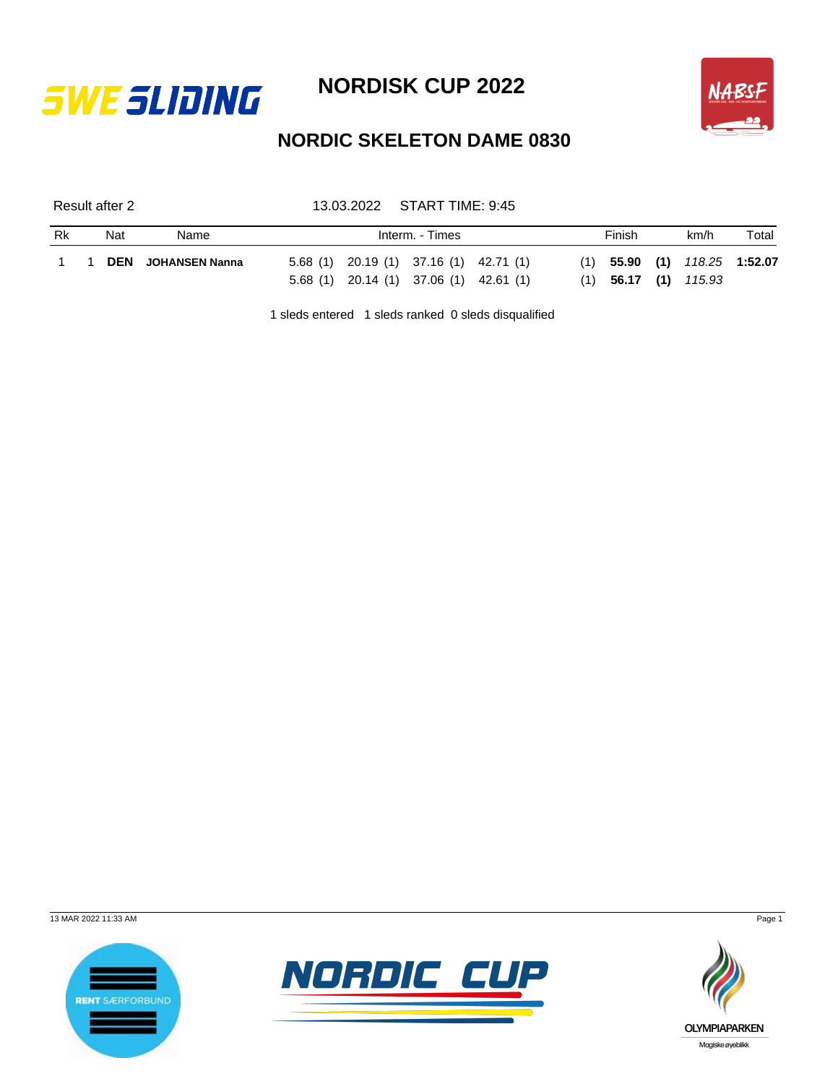



## **NORDIC SKELETON DAME 0830**

Result after 2 13.03.2022 START TIME: 9:45

| Rk | Nat | Name                      | Interm. - Times |                                                                                   |  |  |  | Finish |  |                                                          | Total |
|----|-----|---------------------------|-----------------|-----------------------------------------------------------------------------------|--|--|--|--------|--|----------------------------------------------------------|-------|
|    |     | <b>DEN</b> JOHANSEN Nanna |                 | $5.68(1)$ 20.19 (1) 37.16 (1) 42.71 (1)<br>5.68 (1) 20.14 (1) 37.06 (1) 42.61 (1) |  |  |  |        |  | $(1)$ 55.90 (1) 118.25 1:52.07<br>$(1)$ 56.17 (1) 115.93 |       |

1 sleds entered 1 sleds ranked 0 sleds disqualified

13 MAR 2022 11:33 AM Page 1





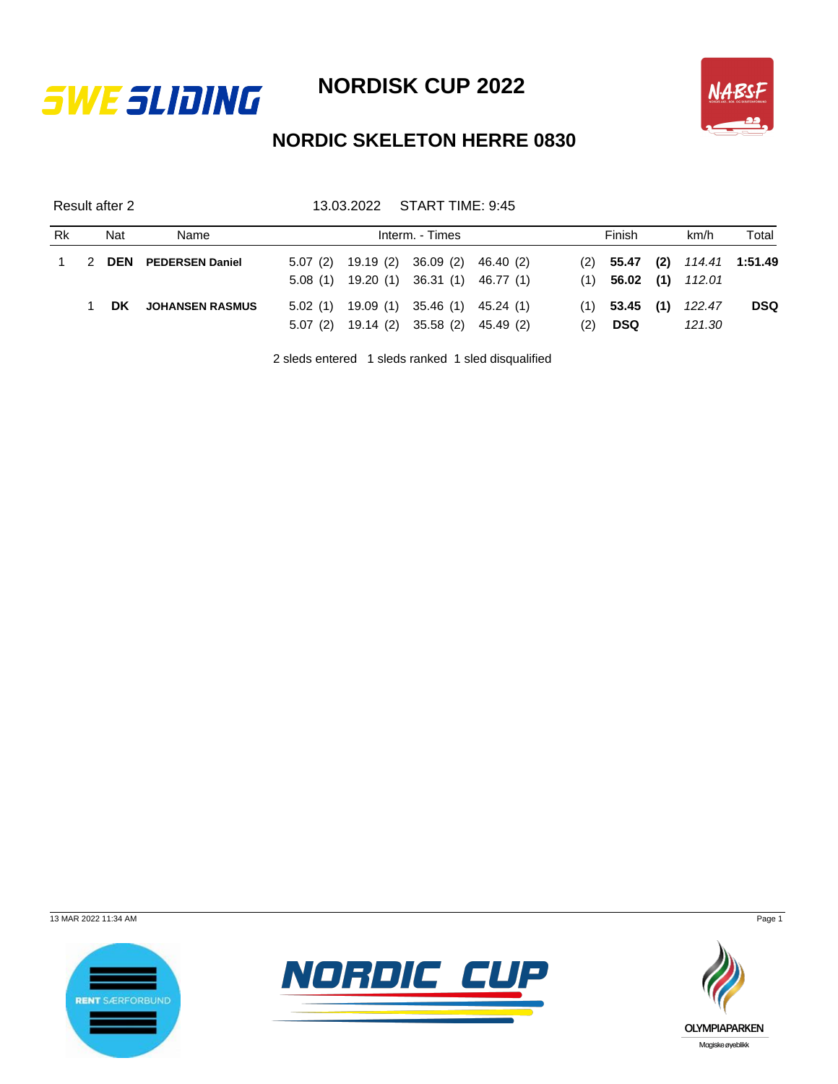



## **NORDIC SKELETON HERRE 0830**

Result after 2 13.03.2022 START TIME: 9:45

| Rk        |   | Nat | Name                       | Interm. - Times |  |                               |  |     | Finish    |  |                        | Total                            |
|-----------|---|-----|----------------------------|-----------------|--|-------------------------------|--|-----|-----------|--|------------------------|----------------------------------|
| $1 \quad$ | 2 |     | <b>DEN</b> PEDERSEN Daniel | 5.07(2)         |  | 19.19 (2) 36.09 (2) 46.40 (2) |  |     |           |  |                        | $(2)$ 55.47 $(2)$ 114.41 1:51.49 |
|           |   |     |                            | 5.08(1)         |  | 19.20 (1) 36.31 (1) 46.77 (1) |  |     |           |  | $(1)$ 56.02 (1) 112.01 |                                  |
|           |   | DK. | <b>JOHANSEN RASMUS</b>     | 5.02(1)         |  | 19.09 (1) 35.46 (1) 45.24 (1) |  | (1) | 53.45 (1) |  | 122.47                 | <b>DSQ</b>                       |
|           |   |     |                            | 5.07(2)         |  | 19.14 (2) 35.58 (2) 45.49 (2) |  | (2) | DSQ       |  | 121.30                 |                                  |

2 sleds entered 1 sleds ranked 1 sled disqualified

13 MAR 2022 11:34 AM Page 1